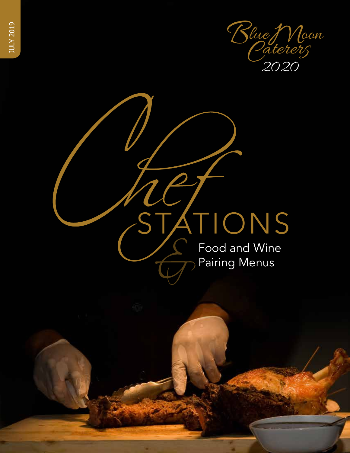

ATIONS Food and Wine Pairing Menus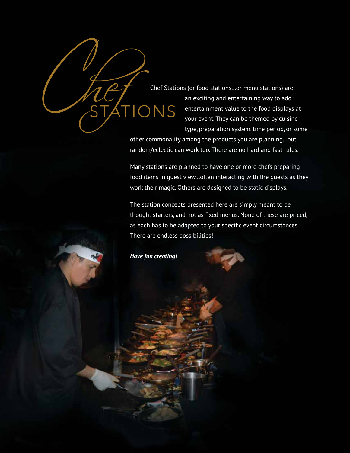Chef Stations (or food stations…or menu stations) are an exciting and entertaining way to add ONS entertainment value to the food displays at your event. They can be themed by cuisine type, preparation system, time period, or some

other commonality among the products you are planning…but random/eclectic can work too. There are no hard and fast rules.

Many stations are planned to have one or more chefs preparing food items in guest view…often interacting with the guests as they work their magic. Others are designed to be static displays.

The station concepts presented here are simply meant to be thought starters, and not as fixed menus. None of these are priced, as each has to be adapted to your specific event circumstances. There are endless possibilities!



*Have fun creating!*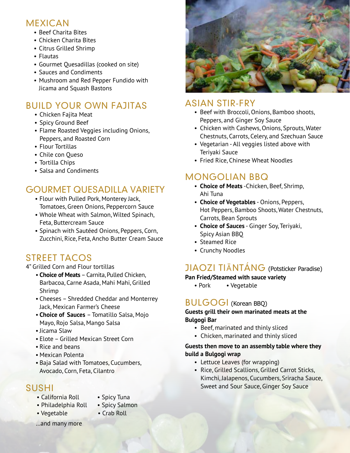## MEXICAN

- Beef Charita Bites
- Chicken Charita Bites
- Citrus Grilled Shrimp
- Flautas
- Gourmet Quesadillas (cooked on site)
- Sauces and Condiments
- Mushroom and Red Pepper Fundido with Jicama and Squash Bastons

## BUILD YOUR OWN FAJITAS

- Chicken Fajita Meat
- Spicy Ground Beef
- Flame Roasted Veggies including Onions, Peppers, and Roasted Corn
- Flour Tortillas
- Chile con Queso
- Tortilla Chips
- Salsa and Condiments

## GOURMET QUESADILLA VARIETY

- Flour with Pulled Pork, Monterey Jack, Tomatoes, Green Onions, Peppercorn Sauce
- Whole Wheat with Salmon, Wilted Spinach, Feta, Buttercream Sauce
- Spinach with Sautéed Onions, Peppers, Corn, Zucchini, Rice, Feta, Ancho Butter Cream Sauce

## STREET TACOS

#### 4" Grilled Corn and Flour tortillas

- **Choice of Meats** Carnita, Pulled Chicken, Barbacoa, Carne Asada, Mahi Mahi, Grilled Shrimp
- Cheeses Shredded Cheddar and Monterrey Jack, Mexican Farmer's Cheese
- **Choice of Sauces**  Tomatillo Salsa, Mojo Mayo, Rojo Salsa, Mango Salsa
- Jicama Slaw
- Elote Grilled Mexican Street Corn
- Rice and beans
- Mexican Polenta
- Baja Salad with Tomatoes, Cucumbers, Avocado, Corn, Feta, Cilantro

## SUSHI

- California Roll Spicy Tuna
	-
- Philadelphia Roll Spicy Salmon
- Vegetable Crab Roll
- 
- …and many more



## ASIAN STIR-FRY

- Beef with Broccoli, Onions, Bamboo shoots, Peppers, and Ginger Soy Sauce
- Chicken with Cashews, Onions, Sprouts, Water Chestnuts, Carrots, Celery, and Szechuan Sauce
- Vegetarian All veggies listed above with Teriyaki Sauce
- Fried Rice, Chinese Wheat Noodles

## MONGOLIAN BBQ

- **Choice of Meats** -Chicken, Beef, Shrimp, Ahi Tuna
- **Choice of Vegetables** Onions, Peppers, Hot Peppers, Bamboo Shoots, Water Chestnuts, Carrots, Bean Sprouts
- **Choice of Sauces** Ginger Soy, Teriyaki, Spicy Asian BBQ
- Steamed Rice
- Crunchy Noodles

## JIAOZI TIĀNTÁNG (Potsticker Paradise)

#### **Pan Fried/Steamed with sauce variety**

• Pork • Vegetable

#### BULGOGI (Korean BBQ)

#### **Guests grill their own marinated meats at the Bulgogi Bar**

- Beef, marinated and thinly sliced
- Chicken, marinated and thinly sliced

#### **Guests then move to an assembly table where they build a Bulgogi wrap**

- Lettuce Leaves (for wrapping)
- Rice, Grilled Scallions, Grilled Carrot Sticks, Kimchi, Jalapenos, Cucumbers, Sriracha Sauce, Sweet and Sour Sauce, Ginger Soy Sauce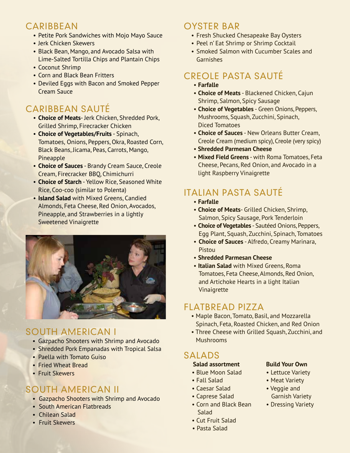## CARIBBEAN

- Petite Pork Sandwiches with Mojo Mayo Sauce
- Jerk Chicken Skewers
- Black Bean, Mango, and Avocado Salsa with Lime-Salted Tortilla Chips and Plantain Chips
- Coconut Shrimp
- Corn and Black Bean Fritters
- Deviled Eggs with Bacon and Smoked Pepper Cream Sauce

## CARIBBEAN SAUTÉ

- **Choice of Meats** Jerk Chicken, Shredded Pork, Grilled Shrimp, Firecracker Chicken
- **Choice of Vegetables/Fruits** Spinach, Tomatoes, Onions, Peppers, Okra, Roasted Corn, Black Beans, Jicama, Peas, Carrots, Mango, Pineapple
- **Choice of Sauces** Brandy Cream Sauce, Creole Cream, Firecracker BBQ, Chimichurri
- **Choice of Starch** Yellow Rice, Seasoned White Rice, Coo-coo (similar to Polenta)
- **Island Salad** with Mixed Greens, Candied Almonds, Feta Cheese, Red Onion, Avocados, Pineapple, and Strawberries in a lightly Sweetened Vinaigrette



## SOUTH AMERICAN I

- Gazpacho Shooters with Shrimp and Avocado
- Shredded Pork Empanadas with Tropical Salsa
- Paella with Tomato Guiso
- Fried Wheat Bread
- Fruit Skewers

## SOUTH AMERICAN II

- Gazpacho Shooters with Shrimp and Avocado
- South American Flatbreads
- Chilean Salad
- Fruit Skewers

## OYSTER BAR

- Fresh Shucked Chesapeake Bay Oysters
- Peel n' Eat Shrimp or Shrimp Cocktail
- Smoked Salmon with Cucumber Scales and Garnishes

## CREOLE PASTA SAUTÉ

- **Farfalle**
- **Choice of Meats** Blackened Chicken, Cajun Shrimp, Salmon, Spicy Sausage
- **Choice of Vegetables** Green Onions, Peppers, Mushrooms, Squash, Zucchini, Spinach, Diced Tomatoes
- **Choice of Sauces** New Orleans Butter Cream, Creole Cream (medium spicy), Creole (very spicy)
- • **Shredded Parmesan Cheese**
- **Mixed Field Greens** with Roma Tomatoes, Feta Cheese, Pecans, Red Onion, and Avocado in a light Raspberry Vinaigrette

## ITALIAN PASTA SAUTÉ

- **Farfalle**
- **Choice of Meats** Grilled Chicken, Shrimp, Salmon, Spicy Sausage, Pork Tenderloin
- **Choice of Vegetables** Sautéed Onions, Peppers, Egg Plant, Squash, Zucchini, Spinach, Tomatoes
- **Choice of Sauces** Alfredo, Creamy Marinara, Pistou
- **Shredded Parmesan Cheese**
- **Italian Salad** with Mixed Greens, Roma Tomatoes, Feta Cheese, Almonds, Red Onion, and Artichoke Hearts in a light Italian Vinaigrette

## FLATBREAD PIZZA

- Maple Bacon, Tomato, Basil, and Mozzarella Spinach, Feta, Roasted Chicken, and Red Onion
- Three Cheese with Grilled Squash, Zucchini, and Mushrooms

## SALADS

#### **Salad assortment Build Your Own**

- Blue Moon Salad Lettuce Variety
- 
- Caesar Salad Veggie and
- Caprese Salad Garnish Variety
- Corn and Black Bean Dressing Variety Salad
- Cut Fruit Salad
- Pasta Salad

- 
- Fall Salad Meat Variety
	- -
	-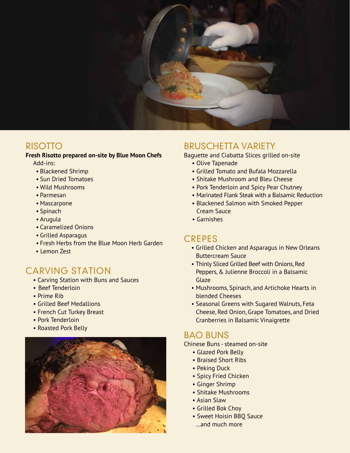

#### RISOTTO

#### **Fresh Risotto prepared on-site by Blue Moon Chefs**

Add-ins:

- Blackened Shrimp
- Sun Dried Tomatoes
- Wild Mushrooms
- Parmesan
- Mascarpone
- Spinach
- Arugula
- Caramelized Onions
- Grilled Asparagus
- Fresh Herbs from the Blue Moon Herb Garden
- Lemon Zest

## CARVING STATION

- Carving Station with Buns and Sauces
- Beef Tenderloin
- Prime Rib
- Grilled Beef Medallions
- French Cut Turkey Breast
- Pork Tenderloin
- Roasted Pork Belly



#### BRUSCHETTA VARIETY

Baguette and Ciabatta Slices grilled on-site

- Olive Tapenade
- Grilled Tomato and Bufala Mozzarella
- Shitake Mushroom and Bleu Cheese
- Pork Tenderloin and Spicy Pear Chutney
- Marinated Flank Steak with a Balsamic Reduction
- Blackened Salmon with Smoked Pepper Cream Sauce
- Garnishes

## **CREPES**

- Grilled Chicken and Asparagus in New Orleans Buttercream Sauce
- Thinly Sliced Grilled Beef with Onions, Red Peppers, & Julienne Broccoli in a Balsamic Glaze
- Mushrooms, Spinach, and Artichoke Hearts in blended Cheeses
- Seasonal Greens with Sugared Walnuts, Feta Cheese, Red Onion, Grape Tomatoes, and Dried Cranberries in Balsamic Vinaigrette

## BAO BUNS

Chinese Buns - steamed on-site

- Glazed Pork Belly
- Braised Short Ribs
- Peking Duck
- Spicy Fried Chicken
- Ginger Shrimp
- Shitake Mushrooms
- Asian Slaw
- Grilled Bok Choy
- Sweet Hoisin BBQ Sauce
- …and much more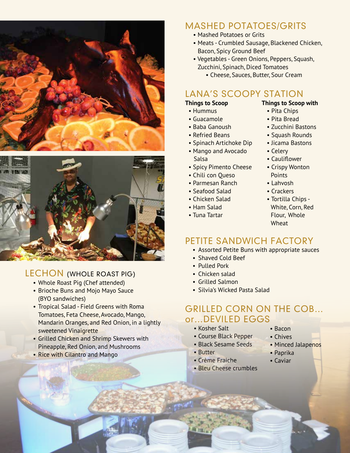

![](_page_5_Picture_1.jpeg)

## LECHON (WHOLE ROAST PIG)

- Whole Roast Pig (Chef attended)
- Brioche Buns and Mojo Mayo Sauce (BYO sandwiches)
- Tropical Salad Field Greens with Roma Tomatoes, Feta Cheese, Avocado, Mango, Mandarin Oranges, and Red Onion, in a lightly sweetened Vinaigrette
- Grilled Chicken and Shrimp Skewers with Pineapple, Red Onion, and Mushrooms
- Rice with Cilantro and Mango

## MASHED POTATOES/GRITS

- Mashed Potatoes or Grits
- Meats Crumbled Sausage, Blackened Chicken, Bacon, Spicy Ground Beef
- Vegetables Green Onions, Peppers, Squash, Zucchini, Spinach, Diced Tomatoes
	- Cheese, Sauces, Butter, Sour Cream

## LANA'S SCOOPY STATION

- Hummus Pita Chips
- Guacamole Pita Bread
- 
- Refried Beans Squash Rounds
- Spinach Artichoke Dip Jicama Bastons
- Mango and Avocado Celery Salsa **• Cauliflower**
- Spicy Pimento Cheese Crispy Wonton
- Chili con Queso Points
- Parmesan Ranch Lahvosh
- Seafood Salad Crackers
- 
- 
- 
- **Things to Scoop Things to Scoop with**
	-
	-
- Baba Ganoush Zucchini Bastons
	-
	-
	-
	-
	-
	-
	-
- Chicken Salad Tortilla Chips • Ham Salad White, Corn, Red • Tuna Tartar Flour, Whole Wheat

## PETITE SANDWICH FACTORY

- Assorted Petite Buns with appropriate sauces
- Shaved Cold Beef
- Pulled Pork
- Chicken salad
- Grilled Salmon
- Silvia's Wicked Pasta Salad

#### GRILLED CORN ON THE COB… or…DEVILED EGGS

#### • Kosher Salt

- Course Black Pepper
- Black Sesame Seeds
- Butter
- Crème Fraiche
- Bleu Cheese crumbles
- Bacon • Chives
- 
- Minced Jalapenos
- Paprika
- Caviar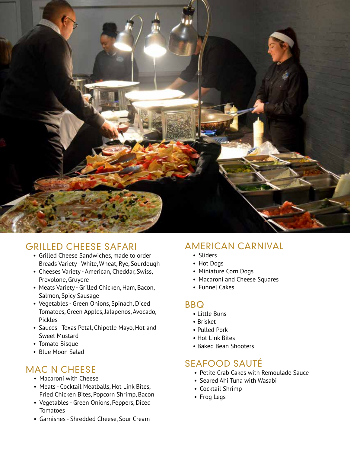![](_page_6_Picture_0.jpeg)

## GRILLED CHEESE SAFARI

- Grilled Cheese Sandwiches, made to order Breads Variety - White, Wheat, Rye, Sourdough
- Cheeses Variety American, Cheddar, Swiss, Provolone, Gruyere
- Meats Variety Grilled Chicken, Ham, Bacon, Salmon, Spicy Sausage
- Vegetables Green Onions, Spinach, Diced Tomatoes, Green Apples, Jalapenos, Avocado, Pickles
- Sauces Texas Petal, Chipotle Mayo, Hot and Sweet Mustard
- Tomato Bisque
- Blue Moon Salad

## MAC N CHEESE

- Macaroni with Cheese
- Meats Cocktail Meatballs, Hot Link Bites, Fried Chicken Bites, Popcorn Shrimp, Bacon
- Vegetables Green Onions, Peppers, Diced **Tomatoes**
- Garnishes Shredded Cheese, Sour Cream

## AMERICAN CARNIVAL

- Sliders
- Hot Dogs
- Miniature Corn Dogs
- Macaroni and Cheese Squares
- Funnel Cakes

## BBQ

- Little Buns
- Brisket
- Pulled Pork
- Hot Link Bites
- Baked Bean Shooters

## SEAFOOD SAUTÉ

- Petite Crab Cakes with Remoulade Sauce
- Seared Ahi Tuna with Wasabi
- Cocktail Shrimp
- Frog Legs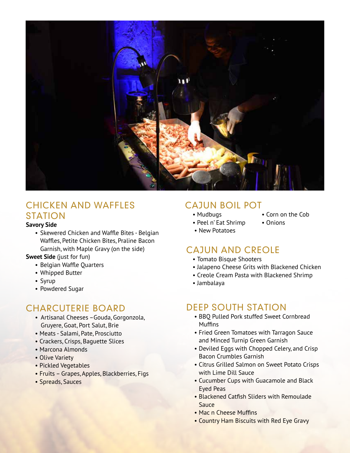![](_page_7_Picture_0.jpeg)

#### CHICKEN AND WAFFLES STATION

#### **Savory Side**

• Skewered Chicken and Waffle Bites - Belgian Waffles, Petite Chicken Bites, Praline Bacon Garnish, with Maple Gravy (on the side)

#### **Sweet Side** (just for fun)

- Belgian Waffle Quarters
- Whipped Butter
- Syrup
- Powdered Sugar

## CHARCUTERIE BOARD

- Artisanal Cheeses –Gouda, Gorgonzola, Gruyere, Goat, Port Salut, Brie
- Meats Salami, Pate, Prosciutto
- Crackers, Crisps, Baguette Slices
- Marcona Almonds
- Olive Variety
- Pickled Vegetables
- Fruits Grapes, Apples, Blackberries, Figs
- Spreads, Sauces

## CAJUN BOIL POT

- 
- Peel n' Eat Shrimp Onions
- Mudbugs Corn on the Cob
- New Potatoes

## CAJUN AND CREOLE

- Tomato Bisque Shooters
- Jalapeno Cheese Grits with Blackened Chicken
- Creole Cream Pasta with Blackened Shrimp
- Jambalaya

## DEEP SOUTH STATION

- BBQ Pulled Pork stuffed Sweet Cornbread **Muffins**
- Fried Green Tomatoes with Tarragon Sauce and Minced Turnip Green Garnish
- Deviled Eggs with Chopped Celery, and Crisp Bacon Crumbles Garnish
- Citrus Grilled Salmon on Sweet Potato Crisps with Lime Dill Sauce
- Cucumber Cups with Guacamole and Black Eyed Peas
- Blackened Catfish Sliders with Remoulade Sauce
- Mac n Cheese Muffins
- Country Ham Biscuits with Red Eye Gravy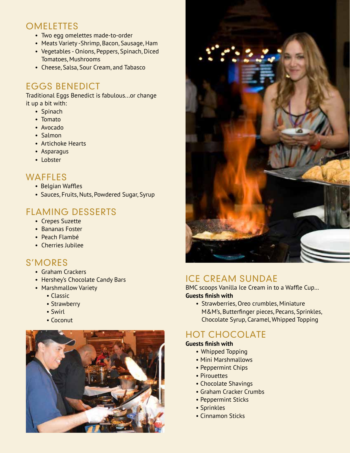## **OMELETTES**

- Two egg omelettes made-to-order
- Meats Variety -Shrimp, Bacon, Sausage, Ham
- Vegetables Onions, Peppers, Spinach, Diced Tomatoes, Mushrooms
- Cheese, Salsa, Sour Cream, and Tabasco

## EGGS BENEDICT

Traditional Eggs Benedict is fabulous...or change it up a bit with:

- Spinach
- Tomato
- Avocado
- Salmon
- Artichoke Hearts
- Asparagus
- Lobster

## WAFFLES

- Belgian Waffles
- Sauces, Fruits, Nuts, Powdered Sugar, Syrup

## FLAMING DESSERTS

- Crepes Suzette
- Bananas Foster
- Peach Flambé
- Cherries Jubilee

## S'MORES

- Graham Crackers
- Hershey's Chocolate Candy Bars
- Marshmallow Variety
	- Classic
	- Strawberry
	- Swirl
	- Coconut

![](_page_8_Picture_30.jpeg)

![](_page_8_Picture_31.jpeg)

## ICE CREAM SUNDAE

BMC scoops Vanilla Ice Cream in to a Waffle Cup… **Guests finish with**

• Strawberries, Oreo crumbles, Miniature M&M's, Butterfinger pieces, Pecans, Sprinkles, Chocolate Syrup, Caramel, Whipped Topping

## HOT CHOCOLATE

#### **Guests finish with**

- Whipped Topping
- Mini Marshmallows
- Peppermint Chips
- Pirouettes
- Chocolate Shavings
- Graham Cracker Crumbs
- Peppermint Sticks
- Sprinkles
- Cinnamon Sticks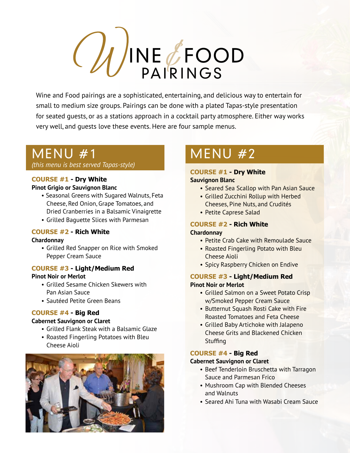# INE *U*FOOD PAIRINGS

Wine and Food pairings are a sophisticated, entertaining, and delicious way to entertain for small to medium size groups. Pairings can be done with a plated Tapas-style presentation for seated guests, or as a stations approach in a cocktail party atmosphere. Either way works very well, and guests love these events. Here are four sample menus.

## MENU #1

*(this menu is best served Tapas-style)*

#### **COURSE #1 - Dry White**

#### **Pinot Grigio or Sauvignon Blanc**

- Seasonal Greens with Sugared Walnuts, Feta Cheese, Red Onion, Grape Tomatoes, and Dried Cranberries in a Balsamic Vinaigrette
- Grilled Baguette Slices with Parmesan

#### **COURSE #2 - Rich White**

#### **Chardonnay**

• Grilled Red Snapper on Rice with Smoked Pepper Cream Sauce

#### **COURSE #3 - Light/Medium Red**

#### **Pinot Noir or Merlot**

- Grilled Sesame Chicken Skewers with Pan Asian Sauce
- Sautéed Petite Green Beans

#### **COURSE #4 - Big Red**

#### **Cabernet Sauvignon or Claret**

- Grilled Flank Steak with a Balsamic Glaze
- Roasted Fingerling Potatoes with Bleu Cheese Aioli

![](_page_9_Picture_19.jpeg)

# MENU #2

#### **COURSE #1 - Dry White Sauvignon Blanc**

- Seared Sea Scallop with Pan Asian Sauce
- Grilled Zucchini Rollup with Herbed Cheeses, Pine Nuts, and Crudités
- Petite Caprese Salad

## **COURSE #2 - Rich White**

#### **Chardonnay**

- Petite Crab Cake with Remoulade Sauce
- Roasted Fingerling Potato with Bleu Cheese Aioli
- Spicy Raspberry Chicken on Endive

#### **COURSE #3 - Light/Medium Red Pinot Noir or Merlot**

- Grilled Salmon on a Sweet Potato Crisp w/Smoked Pepper Cream Sauce
- Butternut Squash Rosti Cake with Fire Roasted Tomatoes and Feta Cheese
- Grilled Baby Artichoke with Jalapeno Cheese Grits and Blackened Chicken **Stuffing**

#### **COURSE #4 - Big Red**

#### **Cabernet Sauvignon or Claret**

- Beef Tenderloin Bruschetta with Tarragon Sauce and Parmesan Frico
- Mushroom Cap with Blended Cheeses and Walnuts
- Seared Ahi Tuna with Wasabi Cream Sauce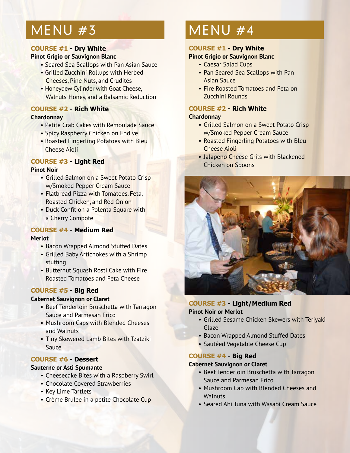## MENU #3

#### **COURSE #1 - Dry White**

#### **Pinot Grigio or Sauvignon Blanc**

- Seared Sea Scallops with Pan Asian Sauce
- Grilled Zucchini Rollups with Herbed Cheeses, Pine Nuts, and Crudités
- Honeydew Cylinder with Goat Cheese, Walnuts, Honey, and a Balsamic Reduction

#### **COURSE #2 - Rich White**

#### **Chardonnay**

- Petite Crab Cakes with Remoulade Sauce
- Spicy Raspberry Chicken on Endive
- Roasted Fingerling Potatoes with Bleu Cheese Aioli

#### **COURSE #3 - Light Red**

#### **Pinot Noir**

- Grilled Salmon on a Sweet Potato Crisp w/Smoked Pepper Cream Sauce
- Flatbread Pizza with Tomatoes, Feta, Roasted Chicken, and Red Onion
- Duck Confit on a Polenta Square with a Cherry Compote

#### **COURSE #4 - Medium Red**

#### **Merlot**

- Bacon Wrapped Almond Stuffed Dates
- Grilled Baby Artichokes with a Shrimp stuffing
- Butternut Squash Rosti Cake with Fire Roasted Tomatoes and Feta Cheese

#### **COURSE #5 - Big Red**

#### **Cabernet Sauvignon or Claret**

- Beef Tenderloin Bruschetta with Tarragon Sauce and Parmesan Frico
- Mushroom Caps with Blended Cheeses and Walnuts
- Tiny Skewered Lamb Bites with Tzatziki Sauce

#### **COURSE #6 - Dessert**

#### **Sauterne or Asti Spumante**

- Cheesecake Bites with a Raspberry Swirl
- Chocolate Covered Strawberries
- Key Lime Tartlets
- Crème Brulee in a petite Chocolate Cup

## MENU #4

#### **COURSE #1 - Dry White**

#### **Pinot Grigio or Sauvignon Blanc**

- Caesar Salad Cups
- Pan Seared Sea Scallops with Pan Asian Sauce
- Fire Roasted Tomatoes and Feta on Zucchini Rounds

## **COURSE #2 - Rich White**

#### **Chardonnay**

- Grilled Salmon on a Sweet Potato Crisp w/Smoked Pepper Cream Sauce
- Roasted Fingerling Potatoes with Bleu Cheese Aioli
- Jalapeno Cheese Grits with Blackened Chicken on Spoons

![](_page_10_Picture_43.jpeg)

#### **COURSE #3 - Light/Medium Red**

#### **Pinot Noir or Merlot**

- Grilled Sesame Chicken Skewers with Teriyaki Glaze
- Bacon Wrapped Almond Stuffed Dates
- Sautéed Vegetable Cheese Cup

#### **COURSE #4 - Big Red**

#### **Cabernet Sauvignon or Claret**

- Beef Tenderloin Bruschetta with Tarragon Sauce and Parmesan Frico
- Mushroom Cap with Blended Cheeses and **Walnuts**
- Seared Ahi Tuna with Wasabi Cream Sauce